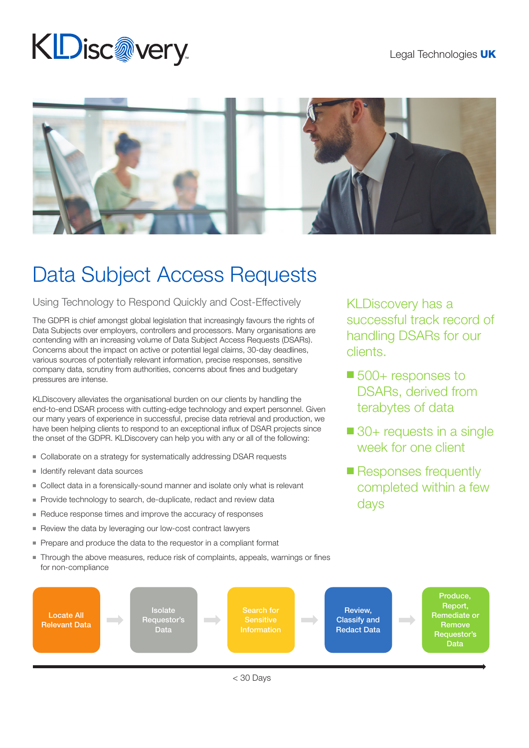## Legal Technologies UK

## **KDisc@very**



## Data Subject Access Requests

Using Technology to Respond Quickly and Cost-Effectively

The GDPR is chief amongst global legislation that increasingly favours the rights of Data Subjects over employers, controllers and processors. Many organisations are contending with an increasing volume of Data Subject Access Requests (DSARs). Concerns about the impact on active or potential legal claims, 30-day deadlines, various sources of potentially relevant information, precise responses, sensitive company data, scrutiny from authorities, concerns about fines and budgetary pressures are intense.

KLDiscovery alleviates the organisational burden on our clients by handling the end-to-end DSAR process with cutting-edge technology and expert personnel. Given our many years of experience in successful, precise data retrieval and production, we have been helping clients to respond to an exceptional influx of DSAR projects since the onset of the GDPR. KLDiscovery can help you with any or all of the following:

- Collaborate on a strategy for systematically addressing DSAR requests
- $\blacksquare$  Identify relevant data sources
- Collect data in a forensically-sound manner and isolate only what is relevant
- Provide technology to search, de-duplicate, redact and review data
- $\blacksquare$  Reduce response times and improve the accuracy of responses
- $\blacksquare$  Review the data by leveraging our low-cost contract lawyers
- $\blacksquare$  Prepare and produce the data to the requestor in a compliant format
- Through the above measures, reduce risk of complaints, appeals, warnings or fines for non-compliance

KLDiscovery has a successful track record of handling DSARs for our clients.

- $\blacksquare$  500+ responses to DSARs, derived from terabytes of data
- $\blacksquare$  30+ requests in a single week for one client
- Responses frequently completed within a few days